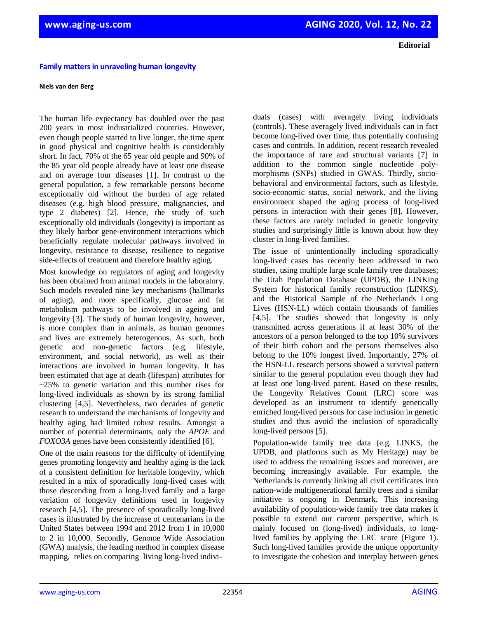## **Family matters in unraveling human longevity**

## **Niels van den Berg**

The human life expectancy has doubled over the past 200 years in most industrialized countries. However, even though people started to live longer, the time spent in good physical and cognitive health is considerably short. In fact, 70% of the 65 year old people and 90% of the 85 year old people already have at least one disease and on average four diseases [1]. In contrast to the general population, a few remarkable persons become exceptionally old without the burden of age related diseases (e.g. high blood pressure, malignancies, and type 2 diabetes) [2]. Hence, the study of such exceptionally old individuals (longevity) is important as they likely harbor gene-environment interactions which beneficially regulate molecular pathways involved in longevity, resistance to disease, resilience to negative side-effects of treatment and therefore healthy aging.

Most knowledge on regulators of aging and longevity has been obtained from animal models in the laboratory. Such models revealed nine key mechanisms (hallmarks of aging), and more specifically, glucose and fat metabolism pathways to be involved in ageing and longevity [3]. The study of human longevity, however, is more complex than in animals, as human genomes and lives are extremely heterogenous. As such, both genetic and non-genetic factors (e.g. lifestyle, environment, and social network), as well as their interactions are involved in human longevity. It has been estimated that age at death (lifespan) attributes for  $\approx$  25% to genetic variation and this number rises for long-lived individuals as shown by its strong familial clustering [4,5]. Nevertheless, two decades of genetic research to understand the mechanisms of longevity and healthy aging had limited robust results. Amongst a number of potential determinants, only the *APOE* and *FOXO3A* genes have been consistently identified [6].

One of the main reasons for the difficulty of identifying genes promoting longevity and healthy aging is the lack of a consistent definition for heritable longevity, which resulted in a mix of sporadically long-lived cases with those descending from a long-lived family and a large variation of longevity definitions used in longevity research [4,5]. The presence of sporadically long-lived cases is illustrated by the increase of centenarians in the United States between 1994 and 2012 from 1 in 10,000 to 2 in 10,000. Secondly, Genome Wide Association (GWA) analysis, the leading method in complex disease mapping, relies on comparing living long-lived individuals (cases) with averagely living individuals (controls). These averagely lived individuals can in fact become long-lived over time, thus potentially confusing cases and controls. In addition, recent research revealed the importance of rare and structural variants [7] in addition to the common single nucleotide polymorphisms (SNPs) studied in GWAS. Thirdly, sociobehavioral and environmental factors, such as lifestyle, socio-economic status, social network, and the living environment shaped the aging process of long-lived persons in interaction with their genes [8]. However, these factors are rarely included in genetic longevity studies and surprisingly little is known about how they cluster in long-lived families.

The issue of unintentionally including sporadically long-lived cases has recently been addressed in two studies, using multiple large scale family tree databases; the Utah Population Database (UPDB), the LINKing System for historical family reconstruction (LINKS), and the Historical Sample of the Netherlands Long Lives (HSN-LL) which contain thousands of families [4,5]. The studies showed that longevity is only transmitted across generations if at least 30% of the ancestors of a person belonged to the top 10% survivors of their birth cohort and the persons themselves also belong to the 10% longest lived. Importantly, 27% of the HSN-LL research persons showed a survival pattern similar to the general population even though they had at least one long-lived parent. Based on these results, the Longevity Relatives Count (LRC) score was developed as an instrument to identify genetically enriched long-lived persons for case inclusion in genetic studies and thus avoid the inclusion of sporadically long-lived persons [5].

Population-wide family tree data (e.g. LINKS, the UPDB, and platforms such as My Heritage) may be used to address the remaining issues and moreover, are becoming increasingly available. For example, the Netherlands is currently linking all civil certificates into nation-wide multigenerational family trees and a similar initiative is ongoing in Denmark. This increasing availability of population-wide family tree data makes it possible to extend our current perspective, which is mainly focused on (long-lived) individuals, to longlived families by applying the LRC score (Figure 1). Such long-lived families provide the unique opportunity to investigate the cohesion and interplay between genes